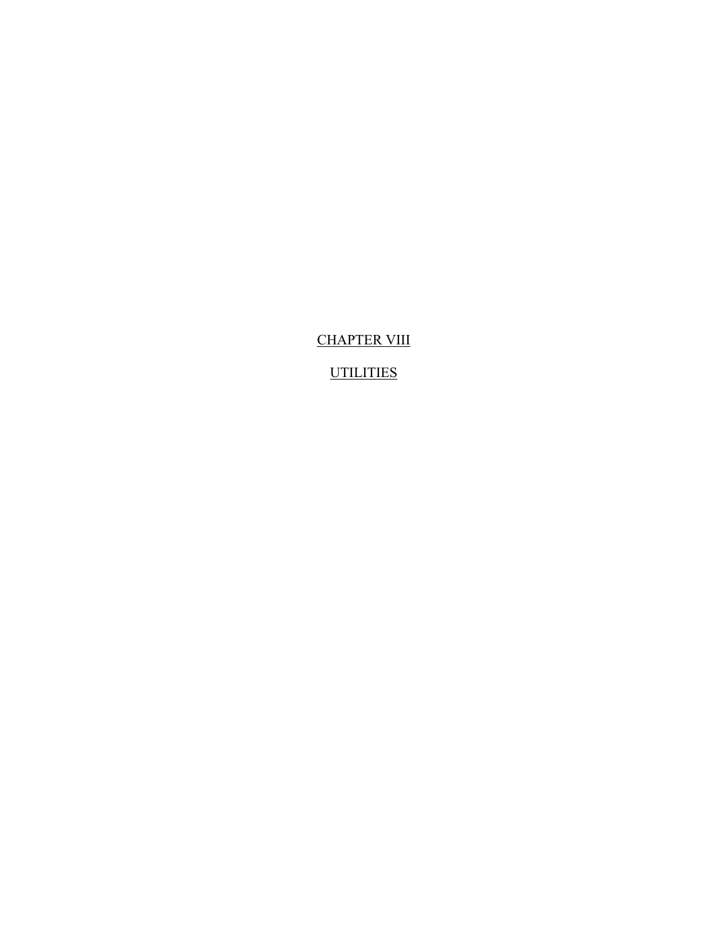CHAPTER VIII

**UTILITIES**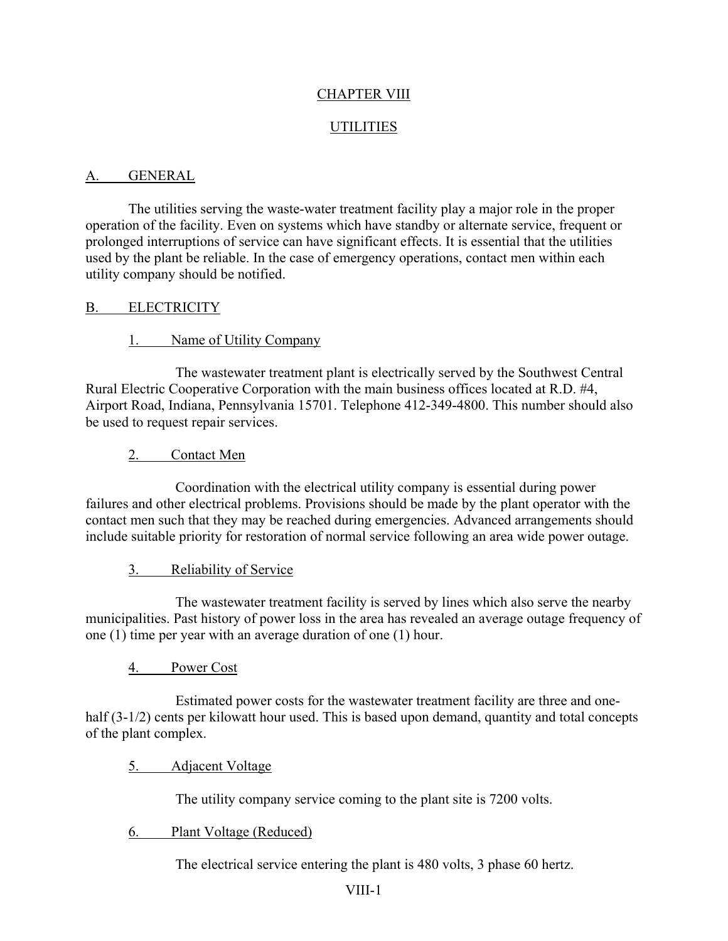## CHAPTER VIII

### UTILITIES

### A. GENERAL

The utilities serving the waste-water treatment facility play a major role in the proper operation of the facility. Even on systems which have standby or alternate service, frequent or prolonged interruptions of service can have significant effects. It is essential that the utilities used by the plant be reliable. In the case of emergency operations, contact men within each utility company should be notified.

### B. ELECTRICITY

### 1. Name of Utility Company

The wastewater treatment plant is electrically served by the Southwest Central Rural Electric Cooperative Corporation with the main business offices located at R.D. #4, Airport Road, Indiana, Pennsylvania 15701. Telephone 412-349-4800. This number should also be used to request repair services.

### 2. Contact Men

Coordination with the electrical utility company is essential during power failures and other electrical problems. Provisions should be made by the plant operator with the contact men such that they may be reached during emergencies. Advanced arrangements should include suitable priority for restoration of normal service following an area wide power outage.

### 3. Reliability of Service

The wastewater treatment facility is served by lines which also serve the nearby municipalities. Past history of power loss in the area has revealed an average outage frequency of one (1) time per year with an average duration of one (1) hour.

### 4. Power Cost

Estimated power costs for the wastewater treatment facility are three and onehalf (3-1/2) cents per kilowatt hour used. This is based upon demand, quantity and total concepts of the plant complex.

### 5. Adjacent Voltage

The utility company service coming to the plant site is 7200 volts.

### 6. Plant Voltage (Reduced)

The electrical service entering the plant is 480 volts, 3 phase 60 hertz.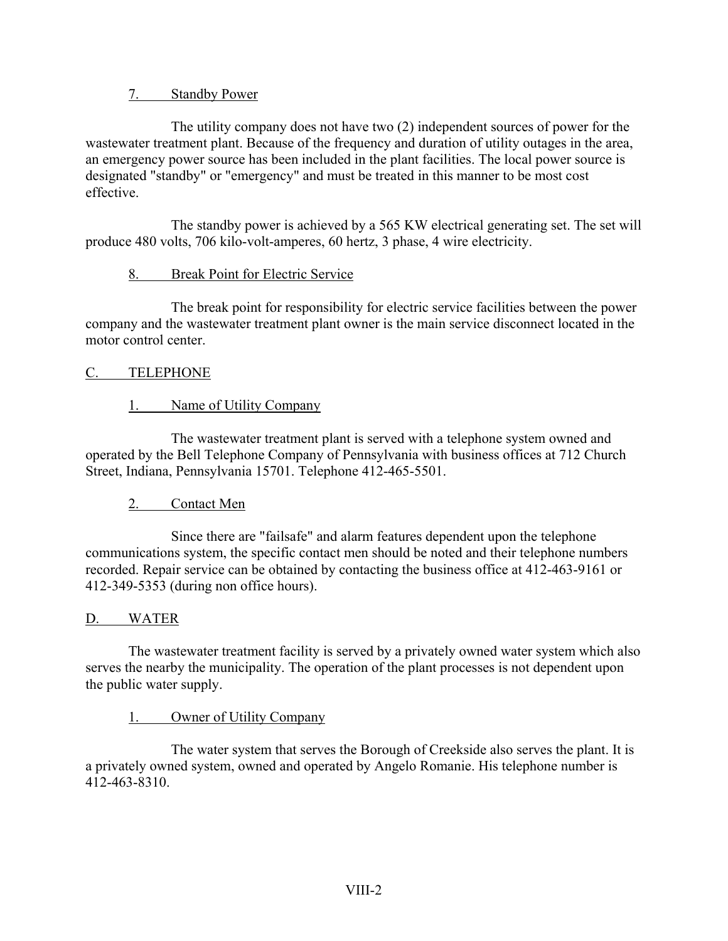## 7. Standby Power

The utility company does not have two (2) independent sources of power for the wastewater treatment plant. Because of the frequency and duration of utility outages in the area, an emergency power source has been included in the plant facilities. The local power source is designated "standby" or "emergency" and must be treated in this manner to be most cost effective.

The standby power is achieved by a 565 KW electrical generating set. The set will produce 480 volts, 706 kilo-volt-amperes, 60 hertz, 3 phase, 4 wire electricity.

## 8. Break Point for Electric Service

The break point for responsibility for electric service facilities between the power company and the wastewater treatment plant owner is the main service disconnect located in the motor control center.

### C. TELEPHONE

## 1. Name of Utility Company

The wastewater treatment plant is served with a telephone system owned and operated by the Bell Telephone Company of Pennsylvania with business offices at 712 Church Street, Indiana, Pennsylvania 15701. Telephone 412-465-5501.

### 2. Contact Men

Since there are "failsafe" and alarm features dependent upon the telephone communications system, the specific contact men should be noted and their telephone numbers recorded. Repair service can be obtained by contacting the business office at 412-463-9161 or 412-349-5353 (during non office hours).

### D. WATER

The wastewater treatment facility is served by a privately owned water system which also serves the nearby the municipality. The operation of the plant processes is not dependent upon the public water supply.

## 1. Owner of Utility Company

The water system that serves the Borough of Creekside also serves the plant. It is a privately owned system, owned and operated by Angelo Romanie. His telephone number is 412-463-8310.